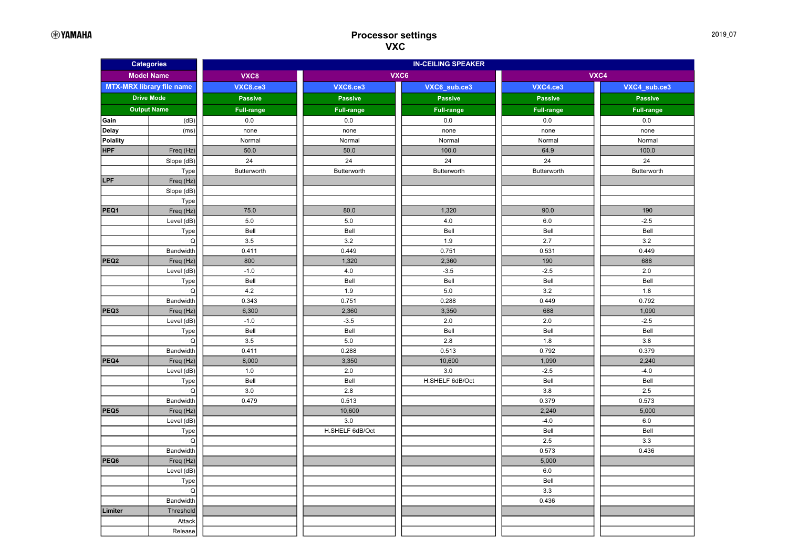| <b>Categories</b>                |                    | <b>IN-CEILING SPEAKER</b> |                 |                   |                   |                   |  |
|----------------------------------|--------------------|---------------------------|-----------------|-------------------|-------------------|-------------------|--|
| <b>Model Name</b>                |                    | VXC8                      | VXC6            |                   | VXC4              |                   |  |
| <b>MTX-MRX library file name</b> |                    | <b>VXC8.ce3</b>           | <b>VXC6.ce3</b> | VXC6_sub.ce3      | VXC4.ce3          | VXC4_sub.ce3      |  |
| <b>Drive Mode</b>                |                    | <b>Passive</b>            | <b>Passive</b>  | <b>Passive</b>    | <b>Passive</b>    | <b>Passive</b>    |  |
|                                  | <b>Output Name</b> | <b>Full-range</b>         | Full-range      | <b>Full-range</b> | <b>Full-range</b> | <b>Full-range</b> |  |
| Gain                             | (dB)               | 0.0                       | 0.0             | 0.0               | 0.0               | 0.0               |  |
| Delay                            | (ms)               | none                      | none            | none              | none              | none              |  |
| <b>Polality</b>                  |                    | Normal                    | Normal          | Normal            | Normal            | Normal            |  |
| <b>HPF</b>                       | Freq (Hz)          | 50.0                      | 50.0            | 100.0             | 64.9              | 100.0             |  |
|                                  | Slope (dB)         | 24                        | 24              | 24                | 24                | 24                |  |
|                                  | Type               | Butterworth               | Butterworth     | Butterworth       | Butterworth       | Butterworth       |  |
| LPF                              | Freq (Hz)          |                           |                 |                   |                   |                   |  |
|                                  | Slope (dB)         |                           |                 |                   |                   |                   |  |
|                                  | Type               |                           |                 |                   |                   |                   |  |
| PEQ1                             | Freq (Hz)          | 75.0                      | 80.0            | 1,320             | 90.0              | 190               |  |
|                                  | Level (dB)         | 5.0                       | $5.0\,$         | $4.0$             | $6.0\,$           | $-2.5$            |  |
|                                  | Type               | Bell                      | Bell            | Bell              | Bell              | Bell              |  |
|                                  | Q                  | 3.5                       | 3.2             | 1.9               | 2.7               | 3.2               |  |
|                                  | Bandwidth          | 0.411                     | 0.449           | 0.751             | 0.531             | 0.449             |  |
| PEQ <sub>2</sub>                 | Freq (Hz)          | 800                       | 1,320           | 2,360             | 190               | 688               |  |
|                                  | Level (dB)         | $-1.0$                    | $4.0\,$         | $-3.5$            | $-2.5$            | 2.0               |  |
|                                  | Type               | Bell                      | Bell            | Bell              | Bell              | Bell              |  |
|                                  | Q                  | 4.2                       | $1.9$           | $5.0\,$           | 3.2               | 1.8               |  |
|                                  | Bandwidth          | 0.343                     | 0.751           | 0.288             | 0.449             | 0.792             |  |
| PEQ3                             | Freq (Hz)          | 6,300                     | 2,360           | 3,350             | 688               | 1,090             |  |
|                                  | Level (dB)         | $-1.0$                    | $-3.5$          | 2.0               | 2.0               | $-2.5$            |  |
|                                  | Type               | Bell                      | Bell            | Bell              | Bell              | Bell              |  |
|                                  | Q                  | 3.5                       | $5.0\,$         | $2.8\,$           | 1.8               | 3.8               |  |
|                                  | Bandwidth          | 0.411                     | 0.288           | 0.513             | 0.792             | 0.379             |  |
| PEQ4                             | Freq (Hz)          | 8,000                     | 3,350           | 10,600            | 1,090             | 2,240             |  |
|                                  | Level (dB)         | 1.0<br>Bell               | 2.0             | $3.0\,$           | $-2.5$            | $-4.0$            |  |
|                                  | Type<br>Q          | 3.0                       | Bell<br>$2.8\,$ | H.SHELF 6dB/Oct   | Bell<br>3.8       | Bell<br>2.5       |  |
|                                  | Bandwidth          | 0.479                     | 0.513           |                   | 0.379             | 0.573             |  |
| PEQ5                             | Freq (Hz)          |                           | 10,600          |                   | 2,240             | 5,000             |  |
|                                  | Level (dB)         |                           | 3.0             |                   | $-4.0$            | $6.0\,$           |  |
|                                  | Type               |                           | H.SHELF 6dB/Oct |                   | Bell              | Bell              |  |
|                                  | Q                  |                           |                 |                   | 2.5               | 3.3               |  |
|                                  | Bandwidth          |                           |                 |                   | 0.573             | 0.436             |  |
| PEQ6                             | Freq (Hz)          |                           |                 |                   | 5,000             |                   |  |
|                                  | Level (dB)         |                           |                 |                   | $6.0\,$           |                   |  |
|                                  | Type               |                           |                 |                   | Bell              |                   |  |
|                                  | Q                  |                           |                 |                   | 3.3               |                   |  |
|                                  | Bandwidth          |                           |                 |                   | 0.436             |                   |  |
| Limiter                          | Threshold          |                           |                 |                   |                   |                   |  |
|                                  | Attack             |                           |                 |                   |                   |                   |  |
|                                  | Release            |                           |                 |                   |                   |                   |  |
|                                  |                    |                           |                 |                   |                   |                   |  |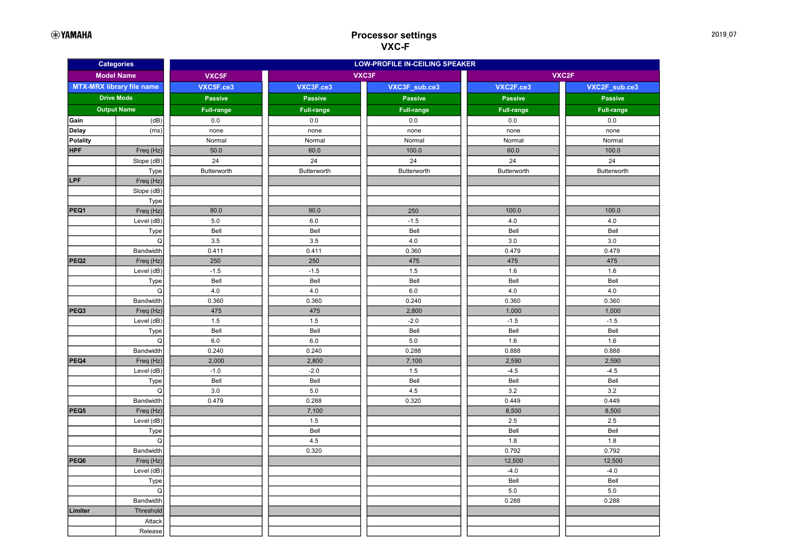| <b>Categories</b>                |                    | <b>LOW-PROFILE IN-CEILING SPEAKER</b> |                   |                   |                   |                   |  |
|----------------------------------|--------------------|---------------------------------------|-------------------|-------------------|-------------------|-------------------|--|
| <b>Model Name</b>                |                    | VXC5F                                 | VXC3F             |                   |                   | VXC2F             |  |
| <b>MTX-MRX library file name</b> |                    | VXC5F.ce3                             | VXC3F.ce3         | VXC3F_sub.ce3     | VXC2F.ce3         | VXC2F_sub.ce3     |  |
|                                  | <b>Drive Mode</b>  | <b>Passive</b>                        | <b>Passive</b>    | <b>Passive</b>    | <b>Passive</b>    | <b>Passive</b>    |  |
|                                  | <b>Output Name</b> | <b>Full-range</b>                     | <b>Full-range</b> | <b>Full-range</b> | <b>Full-range</b> | <b>Full-range</b> |  |
| Gain                             | (dB)               | 0.0                                   | $0.0\,$           | 0.0               | 0.0               | 0.0               |  |
| Delay                            | (ms)               | none                                  | none              | none              | none              | none              |  |
| Polality                         |                    | Normal                                | Normal            | Normal            | Normal            | Normal            |  |
| <b>HPF</b>                       | Freq (Hz)          | 50.0                                  | 60.0              | 100.0             | 60.0              | 100.0             |  |
|                                  | Slope (dB)         | 24                                    | 24                | 24                | 24                | 24                |  |
|                                  | Type               | Butterworth                           | Butterworth       | Butterworth       | Butterworth       | Butterworth       |  |
| <b>LPF</b>                       | Freq (Hz)          |                                       |                   |                   |                   |                   |  |
|                                  | Slope (dB)         |                                       |                   |                   |                   |                   |  |
|                                  | Type               |                                       |                   |                   |                   |                   |  |
| PEQ1                             | Freq (Hz)          | 80.0                                  | 90.0              | 250               | 100.0             | 100.0             |  |
|                                  | Level (dB)         | 5.0                                   | 6.0               | $-1.5$            | 4.0               | 4.0               |  |
|                                  | Type               | Bell                                  | Bell              | Bell              | Bell              | Bell              |  |
|                                  | Q<br>Bandwidth     | 3.5<br>0.411                          | 3.5<br>0.411      | 4.0<br>0.360      | 3.0<br>0.479      | 3.0<br>0.479      |  |
| PEQ <sub>2</sub>                 | Freq (Hz)          | 250                                   | 250               | 475               | 475               | 475               |  |
|                                  | Level (dB)         | $-1.5$                                | $-1.5$            | 1.5               | 1.6               | 1.6               |  |
|                                  | Type               | Bell                                  | Bell              | Bell              | Bell              | Bell              |  |
|                                  | Q                  | 4.0                                   | $4.0$             | 6.0               | $4.0$             | 4.0               |  |
|                                  | Bandwidth          | 0.360                                 | 0.360             | 0.240             | 0.360             | 0.360             |  |
| PEQ3                             | Freq (Hz)          | 475                                   | 475               | 2,800             | 1,000             | 1,000             |  |
|                                  | Level (dB)         | 1.5                                   | 1.5               | $-2.0$            | $-1.5$            | $-1.5$            |  |
|                                  | Type               | Bell                                  | Bell              | Bell              | Bell              | Bell              |  |
|                                  | Q                  | 6.0                                   | 6.0               | 5.0               | 1.6               | 1.6               |  |
|                                  | Bandwidth          | 0.240                                 | 0.240             | 0.288             | 0.888             | 0.888             |  |
| PEQ4                             | Freq (Hz)          | 2,000                                 | 2,800             | 7,100             | 2,590             | 2,590             |  |
|                                  | Level (dB)         | $-1.0$                                | $-2.0$            | 1.5               | $-4.5$            | $-4.5$            |  |
|                                  | Type               | Bell                                  | Bell              | Bell              | Bell              | Bell              |  |
|                                  | Q                  | 3.0                                   | $5.0\,$           | 4.5               | 3.2               | 3.2               |  |
|                                  | Bandwidth          | 0.479                                 | 0.288             | 0.320             | 0.449             | 0.449             |  |
| PEQ5                             | Freq (Hz)          |                                       | 7,100             |                   | 8,500             | 8,500             |  |
|                                  | Level (dB)         |                                       | 1.5<br>Bell       |                   | 2.5<br>Bell       | 2.5<br>Bell       |  |
|                                  | Type<br>Q          |                                       | 4.5               |                   | 1.8               | 1.8               |  |
|                                  | Bandwidth          |                                       | 0.320             |                   | 0.792             | 0.792             |  |
| PEQ6                             | Freq (Hz)          |                                       |                   |                   | 12,500            | 12,500            |  |
|                                  | Level (dB)         |                                       |                   |                   | $-4.0$            | $-4.0$            |  |
|                                  | Type               |                                       |                   |                   | Bell              | Bell              |  |
|                                  | Q                  |                                       |                   |                   | $5.0\,$           | $5.0\,$           |  |
|                                  | Bandwidth          |                                       |                   |                   | 0.288             | 0.288             |  |
| Limiter                          | Threshold          |                                       |                   |                   |                   |                   |  |
|                                  | Attack             |                                       |                   |                   |                   |                   |  |
|                                  | Release            |                                       |                   |                   |                   |                   |  |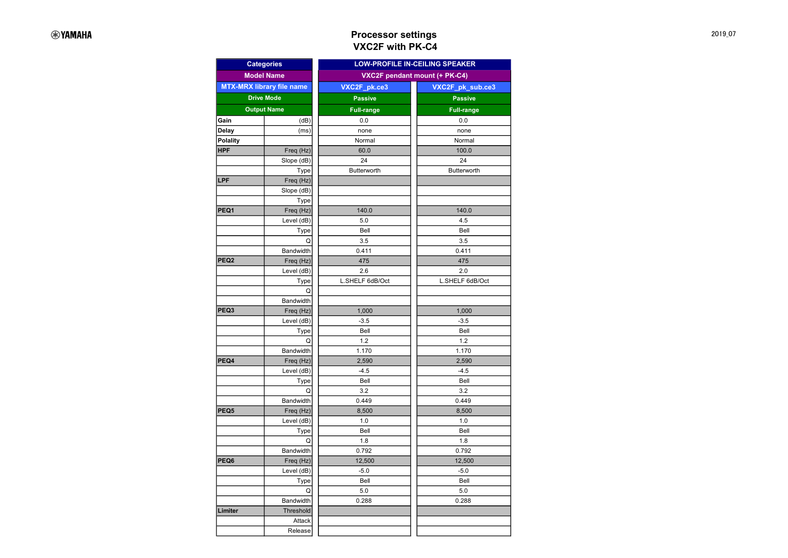## Processor settings VXC2F with PK-C4

| <b>Categories</b>  |                                  | <b>LOW-PROFILE IN-CEILING SPEAKER</b> |                   |  |  |
|--------------------|----------------------------------|---------------------------------------|-------------------|--|--|
|                    | <b>Model Name</b>                | VXC2F pendant mount (+ PK-C4)         |                   |  |  |
|                    | <b>MTX-MRX library file name</b> | VXC2F pk.ce3                          | VXC2F_pk_sub.ce3  |  |  |
| <b>Drive Mode</b>  |                                  | <b>Passive</b>                        | <b>Passive</b>    |  |  |
| <b>Output Name</b> |                                  | <b>Full-range</b>                     | <b>Full-range</b> |  |  |
| Gain               | (dB)                             | 0.0                                   | 0.0               |  |  |
| Delay              | (ms)                             | none                                  | none              |  |  |
| Polality           |                                  | Normal                                | Normal            |  |  |
| <b>HPF</b>         | Freq (Hz)                        | 60.0                                  | 100.0             |  |  |
|                    | Slope (dB)                       | 24                                    | 24                |  |  |
|                    | Type                             | Butterworth                           | Butterworth       |  |  |
| LPF                | Freq (Hz)                        |                                       |                   |  |  |
|                    | Slope (dB)                       |                                       |                   |  |  |
|                    | Type                             |                                       |                   |  |  |
| PEQ1               | Freq (Hz)                        | 140.0                                 | 140.0             |  |  |
|                    | Level (dB)                       | 5.0                                   | 4.5               |  |  |
|                    | Type                             | Bell                                  | Bell              |  |  |
|                    | Q                                | 3.5                                   | 3.5               |  |  |
|                    | Bandwidth                        | 0.411                                 | 0.411             |  |  |
| PEQ2               | Freq (Hz)                        | 475                                   | 475               |  |  |
|                    | Level (dB)                       | 2.6                                   | 2.0               |  |  |
|                    | Type                             | L.SHELF 6dB/Oct                       | L.SHELF 6dB/Oct   |  |  |
|                    | Q                                |                                       |                   |  |  |
|                    | Bandwidth                        |                                       |                   |  |  |
| PEQ3               | Freq (Hz)                        | 1,000                                 | 1,000             |  |  |
|                    | Level (dB)                       | $-3.5$                                | $-3.5$            |  |  |
|                    | Type                             | Bell                                  | Bell              |  |  |
|                    | Q                                | 1.2                                   | 1.2               |  |  |
|                    | Bandwidth                        | 1.170                                 | 1.170             |  |  |
| PEQ4               | Freq (Hz)                        | 2,590                                 | 2,590             |  |  |
|                    | Level (dB)                       | $-4.5$                                | $-4.5$            |  |  |
|                    | Type                             | Bell                                  | Bell              |  |  |
|                    | Q                                | 3.2                                   | 3.2               |  |  |
|                    | Bandwidth                        | 0.449                                 | 0.449             |  |  |
| PEQ5               | Freq (Hz)                        | 8,500                                 | 8,500             |  |  |
|                    | Level (dB)                       | 1.0                                   | 1.0               |  |  |
|                    | Type                             | Bell                                  | Bell              |  |  |
|                    | Q                                | 1.8                                   | 1.8               |  |  |
|                    | Bandwidth                        | 0.792                                 | 0.792             |  |  |
| PEQ6               | Freq (Hz)                        | 12,500                                | 12,500            |  |  |
|                    | Level (dB)                       | $-5.0$                                | $-5.0$            |  |  |
|                    | Type                             | Bell                                  | Bell              |  |  |
|                    | Q                                | 5.0                                   | 5.0               |  |  |
|                    | Bandwidth                        | 0.288                                 | 0.288             |  |  |
| Limiter            | Threshold                        |                                       |                   |  |  |
|                    | Attack                           |                                       |                   |  |  |
|                    | Release                          |                                       |                   |  |  |